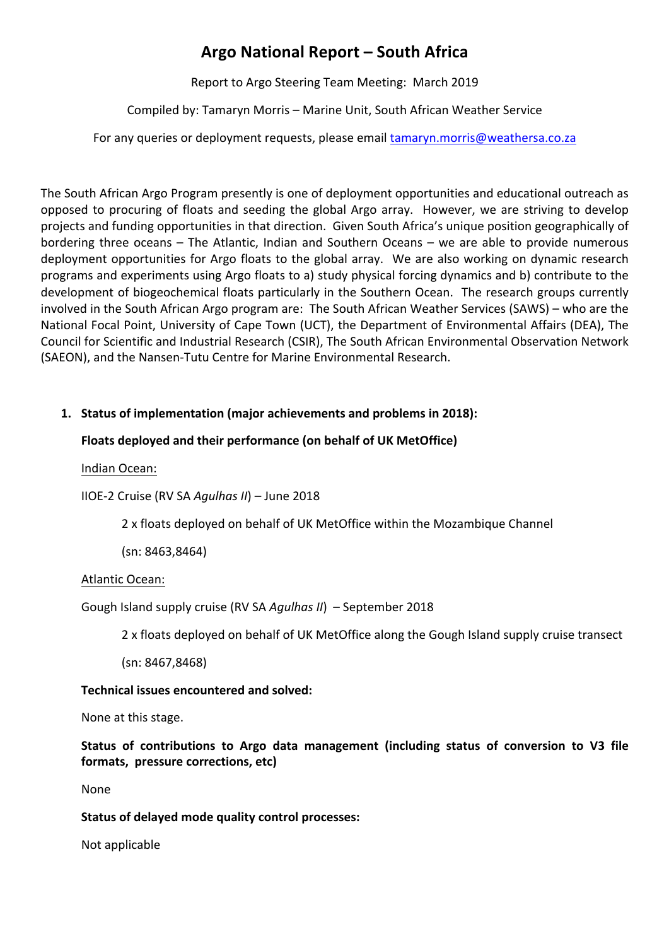# **Argo National Report – South Africa**

Report to Argo Steering Team Meeting: March 2019

Compiled by: Tamaryn Morris - Marine Unit, South African Weather Service

For any queries or deployment requests, please email tamaryn.morris@weathersa.co.za

The South African Argo Program presently is one of deployment opportunities and educational outreach as opposed to procuring of floats and seeding the global Argo array. However, we are striving to develop projects and funding opportunities in that direction. Given South Africa's unique position geographically of bordering three oceans  $-$  The Atlantic, Indian and Southern Oceans  $-$  we are able to provide numerous deployment opportunities for Argo floats to the global array. We are also working on dynamic research programs and experiments using Argo floats to a) study physical forcing dynamics and b) contribute to the development of biogeochemical floats particularly in the Southern Ocean. The research groups currently involved in the South African Argo program are: The South African Weather Services (SAWS) – who are the National Focal Point, University of Cape Town (UCT), the Department of Environmental Affairs (DEA), The Council for Scientific and Industrial Research (CSIR), The South African Environmental Observation Network (SAEON), and the Nansen-Tutu Centre for Marine Environmental Research.

# 1. Status of implementation (major achievements and problems in 2018):

# Floats deployed and their performance (on behalf of UK MetOffice)

Indian Ocean:

IIOE-2 Cruise (RV SA *Agulhas II*) – June 2018

2 x floats deployed on behalf of UK MetOffice within the Mozambique Channel

(sn: 8463,8464)

## Atlantic Ocean:

Gough Island supply cruise (RV SA *Agulhas II*) - September 2018

2 x floats deployed on behalf of UK MetOffice along the Gough Island supply cruise transect

(sn: 8467,8468)

# **Technical issues encountered and solved:**

None at this stage.

# Status of contributions to Argo data management (including status of conversion to V3 file **formats, pressure corrections, etc)**

None

# **Status of delayed mode quality control processes:**

Not applicable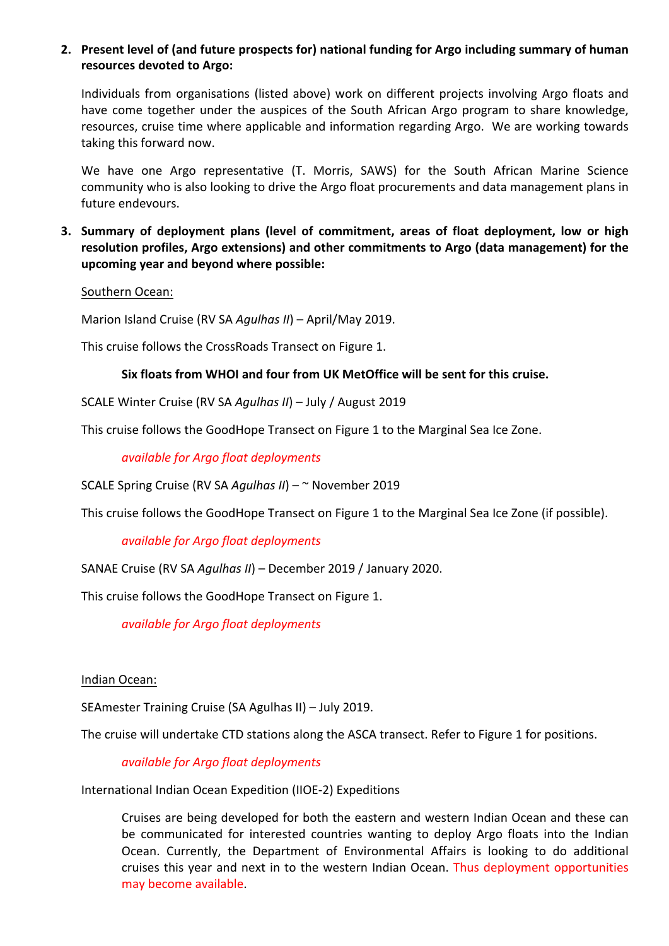### 2. Present level of (and future prospects for) national funding for Argo including summary of human resources devoted to Argo:

Individuals from organisations (listed above) work on different projects involving Argo floats and have come together under the auspices of the South African Argo program to share knowledge, resources, cruise time where applicable and information regarding Argo. We are working towards taking this forward now.

We have one Argo representative (T. Morris, SAWS) for the South African Marine Science community who is also looking to drive the Argo float procurements and data management plans in future endevours.

**3.** Summary of deployment plans (level of commitment, areas of float deployment, low or high resolution profiles, Argo extensions) and other commitments to Argo (data management) for the **upcoming year and beyond where possible:**

#### Southern Ocean:

Marion Island Cruise (RV SA *Agulhas II*) – April/May 2019.

This cruise follows the CrossRoads Transect on Figure 1.

### Six floats from WHOI and four from UK MetOffice will be sent for this cruise.

SCALE Winter Cruise (RV SA *Agulhas II*) - July / August 2019

This cruise follows the GoodHope Transect on Figure 1 to the Marginal Sea Ice Zone.

*available for Argo float deployments*

SCALE Spring Cruise (RV SA *Agulhas II*) – ~ November 2019

This cruise follows the GoodHope Transect on Figure 1 to the Marginal Sea Ice Zone (if possible).

#### *available for Argo float deployments*

SANAE Cruise (RV SA *Agulhas II*) – December 2019 / January 2020.

This cruise follows the GoodHope Transect on Figure 1.

*available for Argo float deployments*

#### Indian Ocean:

SEAmester Training Cruise (SA Agulhas II) - July 2019.

The cruise will undertake CTD stations along the ASCA transect. Refer to Figure 1 for positions.

## *available for Argo float deployments*

International Indian Ocean Expedition (IIOE-2) Expeditions

Cruises are being developed for both the eastern and western Indian Ocean and these can be communicated for interested countries wanting to deploy Argo floats into the Indian Ocean. Currently, the Department of Environmental Affairs is looking to do additional cruises this year and next in to the western Indian Ocean. Thus deployment opportunities may become available.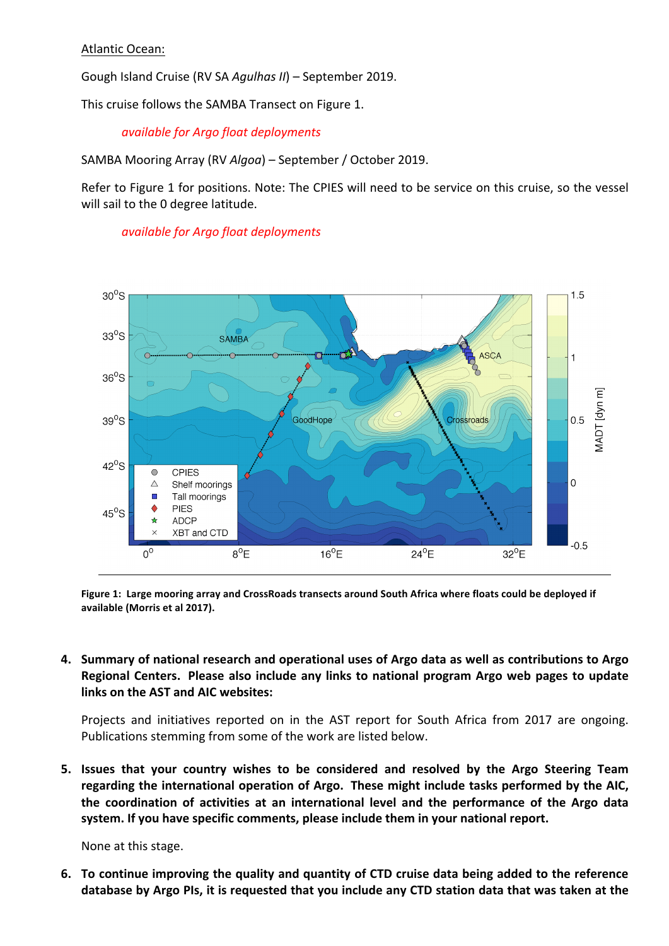### Atlantic Ocean:

Gough Island Cruise (RV SA *Agulhas II*) – September 2019.

This cruise follows the SAMBA Transect on Figure 1.

### *available for Argo float deployments*

SAMBA Mooring Array (RV Algoa) - September / October 2019.

Refer to Figure 1 for positions. Note: The CPIES will need to be service on this cruise, so the vessel will sail to the 0 degree latitude.



*available for Argo float deployments*

Figure 1: Large mooring array and CrossRoads transects around South Africa where floats could be deployed if available (Morris et al 2017).

4. Summary of national research and operational uses of Argo data as well as contributions to Argo Regional Centers. Please also include any links to national program Argo web pages to update links on the AST and AIC websites:

Projects and initiatives reported on in the AST report for South Africa from 2017 are ongoing. Publications stemming from some of the work are listed below.

**5.** Issues that your country wishes to be considered and resolved by the Argo Steering Team regarding the international operation of Argo. These might include tasks performed by the AIC, the coordination of activities at an international level and the performance of the Argo data system. If you have specific comments, please include them in your national report.

None at this stage.

**6.** To continue improving the quality and quantity of CTD cruise data being added to the reference database by Argo PIs, it is requested that you include any CTD station data that was taken at the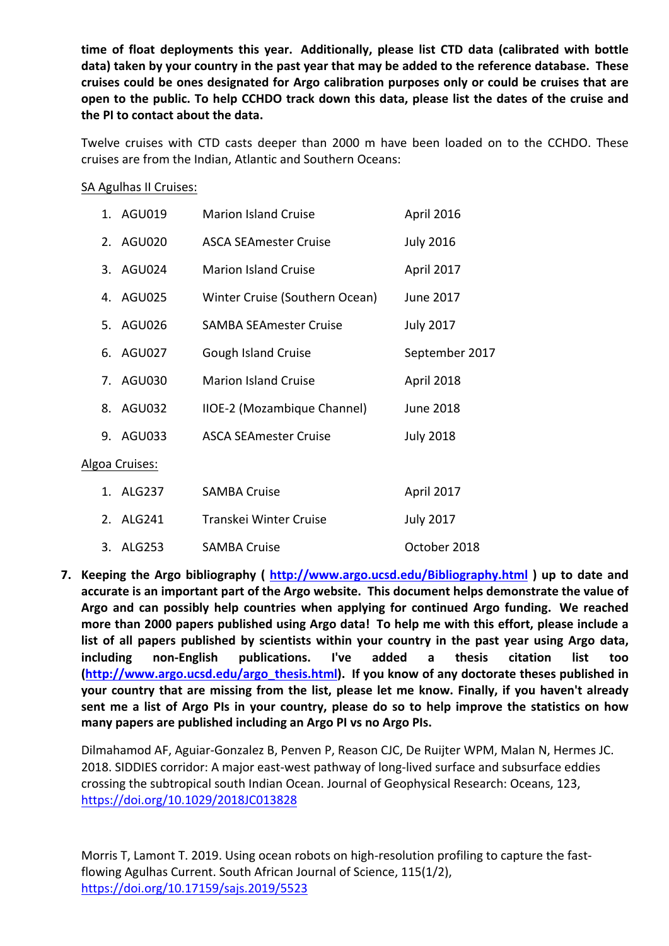time of float deployments this year. Additionally, please list CTD data (calibrated with bottle data) taken by your country in the past year that may be added to the reference database. These cruises could be ones designated for Argo calibration purposes only or could be cruises that are open to the public. To help CCHDO track down this data, please list the dates of the cruise and the PI to contact about the data.

Twelve cruises with CTD casts deeper than 2000 m have been loaded on to the CCHDO. These cruises are from the Indian, Atlantic and Southern Oceans:

SA Agulhas II Cruises:

|                | 1. AGU019 | <b>Marion Island Cruise</b>    | April 2016       |
|----------------|-----------|--------------------------------|------------------|
|                | 2. AGU020 | <b>ASCA SEAmester Cruise</b>   | <b>July 2016</b> |
|                | 3. AGU024 | <b>Marion Island Cruise</b>    | April 2017       |
|                | 4. AGU025 | Winter Cruise (Southern Ocean) | June 2017        |
|                | 5. AGU026 | <b>SAMBA SEAmester Cruise</b>  | <b>July 2017</b> |
|                | 6. AGU027 | Gough Island Cruise            | September 2017   |
|                | 7. AGU030 | <b>Marion Island Cruise</b>    | April 2018       |
|                | 8. AGU032 | IIOE-2 (Mozambique Channel)    | June 2018        |
|                | 9. AGU033 | <b>ASCA SEAmester Cruise</b>   | <b>July 2018</b> |
| Algoa Cruises: |           |                                |                  |
|                | 1. ALG237 | <b>SAMBA Cruise</b>            | April 2017       |
|                | 2. ALG241 | Transkei Winter Cruise         | <b>July 2017</b> |
|                | 3. ALG253 | <b>SAMBA Cruise</b>            | October 2018     |

**7.** Keeping the Argo bibliography ( http://www.argo.ucsd.edu/Bibliography.html ) up to date and accurate is an important part of the Argo website. This document helps demonstrate the value of Argo and can possibly help countries when applying for continued Argo funding. We reached more than 2000 papers published using Argo data! To help me with this effort, please include a list of all papers published by scientists within your country in the past year using Argo data, **including** non-English publications. I've added a thesis citation list too **(http://www.argo.ucsd.edu/argo\_thesis.html).** If you know of any doctorate theses published in **your country that are missing from the list, please let me know. Finally, if you haven't already** sent me a list of Argo PIs in your country, please do so to help improve the statistics on how many papers are published including an Argo PI vs no Argo PIs.

Dilmahamod AF, Aguiar-Gonzalez B, Penven P, Reason CJC, De Ruijter WPM, Malan N, Hermes JC. 2018. SIDDIES corridor: A major east-west pathway of long-lived surface and subsurface eddies crossing the subtropical south Indian Ocean. Journal of Geophysical Research: Oceans, 123, https://doi.org/10.1029/2018JC013828

Morris T, Lamont T. 2019. Using ocean robots on high-resolution profiling to capture the fastflowing Agulhas Current. South African Journal of Science, 115(1/2), https://doi.org/10.17159/sajs.2019/5523